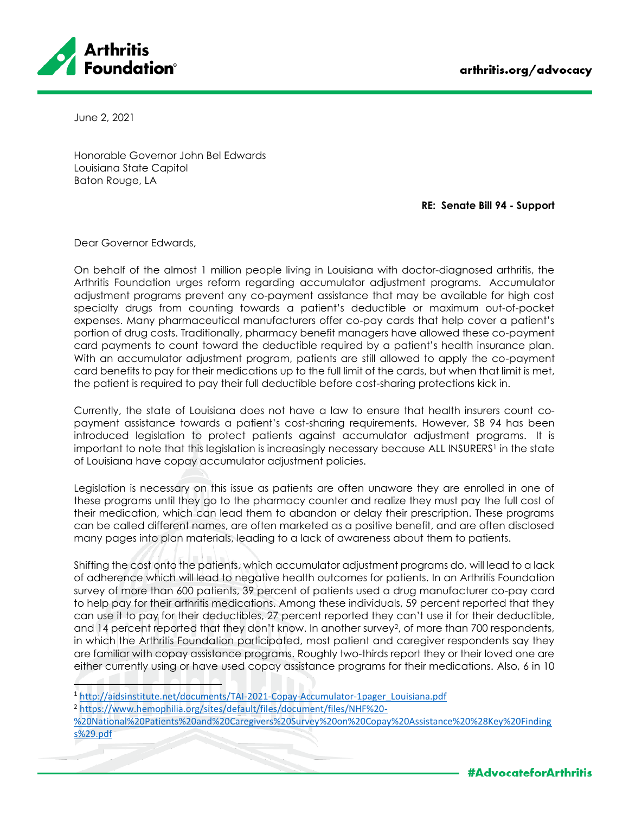

June 2, 2021

Honorable Governor John Bel Edwards Louisiana State Capitol Baton Rouge, LA

**RE: Senate Bill 94 - Support**

Dear Governor Edwards,

On behalf of the almost 1 million people living in Louisiana with doctor-diagnosed arthritis, the Arthritis Foundation urges reform regarding accumulator adjustment programs. Accumulator adjustment programs prevent any co-payment assistance that may be available for high cost specialty drugs from counting towards a patient's deductible or maximum out-of-pocket expenses. Many pharmaceutical manufacturers offer co-pay cards that help cover a patient's portion of drug costs. Traditionally, pharmacy benefit managers have allowed these co-payment card payments to count toward the deductible required by a patient's health insurance plan. With an accumulator adjustment program, patients are still allowed to apply the co-payment card benefits to pay for their medications up to the full limit of the cards, but when that limit is met, the patient is required to pay their full deductible before cost-sharing protections kick in.

Currently, the state of Louisiana does not have a law to ensure that health insurers count copayment assistance towards a patient's cost-sharing requirements. However, SB 94 has been introduced legislation to protect patients against accumulator adjustment programs. It is important to note that this legislation is increasingly necessary because ALL INSURERS <sup>1</sup> in the state of Louisiana have copay accumulator adjustment policies.

Legislation is necessary on this issue as patients are often unaware they are enrolled in one of these programs until they go to the pharmacy counter and realize they must pay the full cost of their medication, which can lead them to abandon or delay their prescription. These programs can be called different names, are often marketed as a positive benefit, and are often disclosed many pages into plan materials, leading to a lack of awareness about them to patients.

Shifting the cost onto the patients, which accumulator adjustment programs do, will lead to a lack of adherence which will lead to negative health outcomes for patients. In an Arthritis Foundation survey of more than 600 patients, 39 percent of patients used a drug manufacturer co-pay card to help pay for their arthritis medications. Among these individuals, 59 percent reported that they can use it to pay for their deductibles, 27 percent reported they can't use it for their deductible, and 14 percent reported that they don't know. In another survey<sup>2</sup>, of more than 700 respondents, in which the Arthritis Foundation participated, most patient and caregiver respondents say they are familiar with copay assistance programs. Roughly two-thirds report they or their loved one are either currently using or have used copay assistance programs for their medications. Also, 6 in 10

<sup>2</sup> [https://www.hemophilia.org/sites/default/files/document/files/NHF%20-](https://www.hemophilia.org/sites/default/files/document/files/NHF%20-%20National%20Patients%20and%20Caregivers%20Survey%20on%20Copay%20Assistance%20%28Key%20Findings%29.pdf)

[%20National%20Patients%20and%20Caregivers%20Survey%20on%20Copay%20Assistance%20%28Key%20Finding](https://www.hemophilia.org/sites/default/files/document/files/NHF%20-%20National%20Patients%20and%20Caregivers%20Survey%20on%20Copay%20Assistance%20%28Key%20Findings%29.pdf) [s%29.pdf](https://www.hemophilia.org/sites/default/files/document/files/NHF%20-%20National%20Patients%20and%20Caregivers%20Survey%20on%20Copay%20Assistance%20%28Key%20Findings%29.pdf)

<sup>1</sup> [http://aidsinstitute.net/documents/TAI-2021-Copay-Accumulator-1pager\\_Louisiana.pdf](http://aidsinstitute.net/documents/TAI-2021-Copay-Accumulator-1pager_Louisiana.pdf)